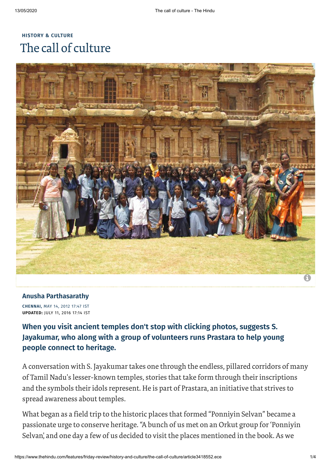# **HISTORY & [CULTURE](https://www.thehindu.com/features/friday-review/history-and-culture/)** The call of culture



### **Anusha [Parthasarathy](https://www.thehindu.com/profile/author/Anusha-Parthasarathy-307/)**

**CHENNAI,** MAY 14, 2012 17:47 IST **UPDATED:** JULY 11, 2016 17:14 IST

## **When you visit ancient temples don't stop with clicking photos, suggests S. Jayakumar, who along with a group of volunteers runs Prastara to help young people connect to heritage.**

A conversation with S. Jayakumar takes one through the endless, pillared corridors of many of Tamil Nadu's lesser-known temples, stories that take form through their inscriptions and the symbols their idols represent. He is part of Prastara, an initiative that strives to spread awareness about temples.

What began as a field trip to the historic places that formed "Ponniyin Selvan" became a passionate urge to conserve heritage."A bunch of us met on an Orkut group for'Ponniyin Selvan,' and one day a few of us decided to visit the places mentioned in the book. As we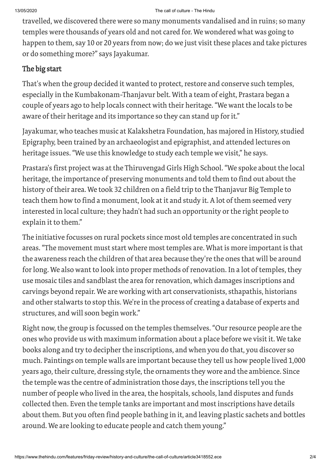travelled, we discovered there were so many monuments vandalised and in ruins; so many temples were thousands of years old and not cared for. We wondered what was going to happen to them, say 10 or 20 years from now; do we just visit these places and take pictures or do something more?" says Jayakumar.

### The big start

That's when the group decided it wanted to protect, restore and conserve such temples, especially in the Kumbakonam-Thanjavur belt. With a team of eight, Prastara began a couple of years ago to help locals connect with their heritage."We want the locals to be aware of their heritage and its importance so they can stand up for it."

Jayakumar, who teaches music at Kalakshetra Foundation, has majored in History, studied Epigraphy, been trained by an archaeologist and epigraphist, and attended lectures on heritage issues."We use this knowledge to study each temple we visit," he says.

Prastara's first project was at the Thiruvengad Girls High School."We spoke about the local heritage, the importance of preserving monuments and told them to find out about the history of their area. We took 32 children on a field trip to the Thanjavur Big Temple to teach them how to find a monument, look at it and study it. A lot of them seemed very interested in local culture; they hadn't had such an opportunity or the right people to explain it to them."

The initiative focusses on rural pockets since most old temples are concentrated in such areas."The movement must start where most temples are. What is more important is that the awareness reach the children of that area because they're the ones that will be around for long. We also want to look into proper methods of renovation. In a lot of temples, they use mosaic tiles and sandblast the area for renovation, which damages inscriptions and carvings beyond repair. We are working with art conservationists, sthapathis, historians and other stalwarts to stop this. We're in the process of creating a database of experts and structures, and will soon begin work."

Right now, the group is focussed on the temples themselves. "Our resource people are the ones who provide us with maximum information about a place before we visit it. We take books along and try to decipher the inscriptions, and when you do that, you discover so much. Paintings on temple walls are important because they tell us how people lived 1,000 years ago, their culture, dressing style, the ornaments they wore and the ambience. Since the temple was the centre of administration those days, the inscriptions tell you the number of people who lived in the area, the hospitals, schools, land disputes and funds collected then. Even the temple tanks are important and most inscriptions have details about them. But you often find people bathing in it, and leaving plastic sachets and bottles around. We are looking to educate people and catch them young."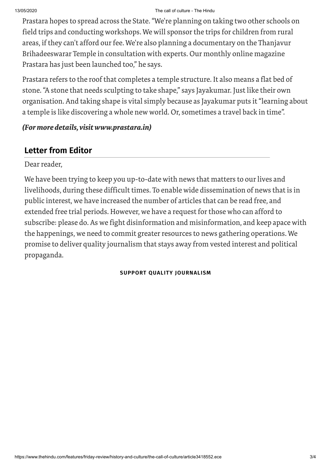#### 13/05/2020 The call of culture - The Hindu

Prastara hopes to spread across the State."We're planning on taking two other schools on field trips and conducting workshops. We will sponsorthe trips for children from rural areas, if they can't afford our fee. We're also planning a documentary on the Thanjavur Brihadeeswarar Temple in consultation with experts. Our monthly online magazine Prastara has just been launched too," he says.

Prastara refers to the roof that completes a temple structure. It also means a flat bed of stone."A stone that needs sculpting to take shape," says Jayakumar. Just like their own organisation. And taking shape is vital simply because as Jayakumar puts it"learning about a temple is like discovering a whole new world. Or, sometimes a travel back in time".

### *(For more details, visit www.prastara.in)*

## **Letter from Editor**

Dear reader,

We have been trying to keep you up-to-date with news that matters to our lives and livelihoods, during these difficult times. To enable wide dissemination of news that is in public interest, we have increased the number of articles that can be read free, and extended free trial periods. However, we have a request for those who can afford to subscribe: please do. As we fight disinformation and misinformation, and keep apace with the happenings, we need to commit greater resources to news gathering operations. We promise to deliver quality journalism that stays away from vested interest and political propaganda.

### **SUPPORT QUALITY [JOURNALISM](https://subscription.thehindu.com/subscription?utm_source=TheHindu&utm_medium=Article-End&utm_campaign=Letter-From-Editor)**